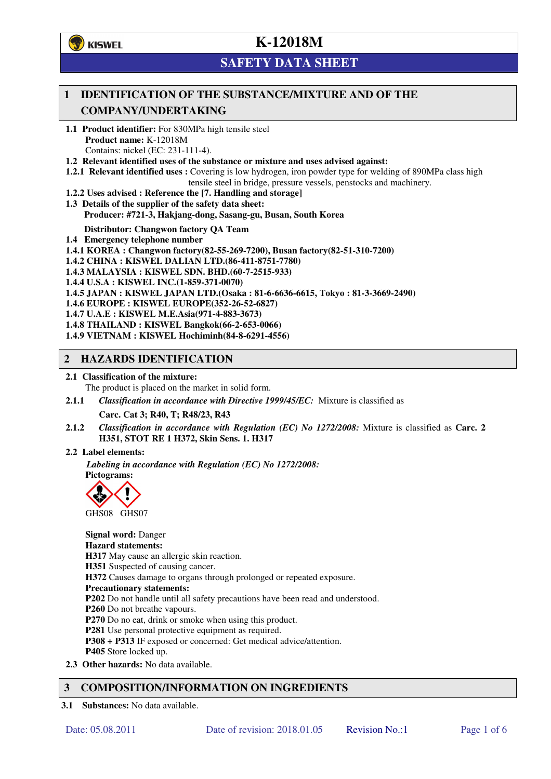**学**)KISWEL

# **K-12018M**

## **SAFETY DATA SHEET**

### **1 IDENTIFICATION OF THE SUBSTANCE/MIXTURE AND OF THE COMPANY/UNDERTAKING**

- **1.1 Product identifier:** For 830MPa high tensile steel **Product name:** K-12018M Contains: nickel (EC: 231-111-4).
- **1.2 Relevant identified uses of the substance or mixture and uses advised against:**
- **1.2.1 Relevant identified uses :** Covering is low hydrogen, iron powder type for welding of 890MPa class high tensile steel in bridge, pressure vessels, penstocks and machinery.
- **1.2.2 Uses advised : Reference the [7. Handling and storage]**
- **1.3 Details of the supplier of the safety data sheet: Producer: #721-3, Hakjang-dong, Sasang-gu, Busan, South Korea**

**Distributor: Changwon factory QA Team** 

- **1.4 Emergency telephone number**
- **1.4.1 KOREA : Changwon factory(82-55-269-7200), Busan factory(82-51-310-7200)**
- **1.4.2 CHINA : KISWEL DALIAN LTD.(86-411-8751-7780)**
- **1.4.3 MALAYSIA : KISWEL SDN. BHD.(60-7-2515-933)**
- **1.4.4 U.S.A : KISWEL INC.(1-859-371-0070)**
- **1.4.5 JAPAN : KISWEL JAPAN LTD.(Osaka : 81-6-6636-6615, Tokyo : 81-3-3669-2490)**
- **1.4.6 EUROPE : KISWEL EUROPE(352-26-52-6827)**
- **1.4.7 U.A.E : KISWEL M.E.Asia(971-4-883-3673)**
- **1.4.8 THAILAND : KISWEL Bangkok(66-2-653-0066)**
- **1.4.9 VIETNAM : KISWEL Hochiminh(84-8-6291-4556)**

#### **2 HAZARDS IDENTIFICATION**

- **2.1 Classification of the mixture:** 
	- The product is placed on the market in solid form.
- **2.1.1** *Classification in accordance with Directive 1999/45/EC:* Mixture is classified as

**Carc. Cat 3; R40, T; R48/23, R43** 

- **2.1.2** *Classification in accordance with Regulation (EC) No 1272/2008:* Mixture is classified as **Carc. 2 H351, STOT RE 1 H372, Skin Sens. 1. H317**
- **2.2 Label elements:**

*Labeling in accordance with Regulation (EC) No 1272/2008:*  **Pictograms:** 



**Signal word:** Danger **Hazard statements: H317** May cause an allergic skin reaction. **H351** Suspected of causing cancer. **H372** Causes damage to organs through prolonged or repeated exposure. **Precautionary statements: P202** Do not handle until all safety precautions have been read and understood. **P260** Do not breathe vapours. **P270** Do no eat, drink or smoke when using this product. **P281** Use personal protective equipment as required. **P308 + P313** IF exposed or concerned: Get medical advice/attention. **P405** Store locked up. **2.3 Other hazards:** No data available.

### **3 COMPOSITION/INFORMATION ON INGREDIENTS**

**3.1 Substances:** No data available.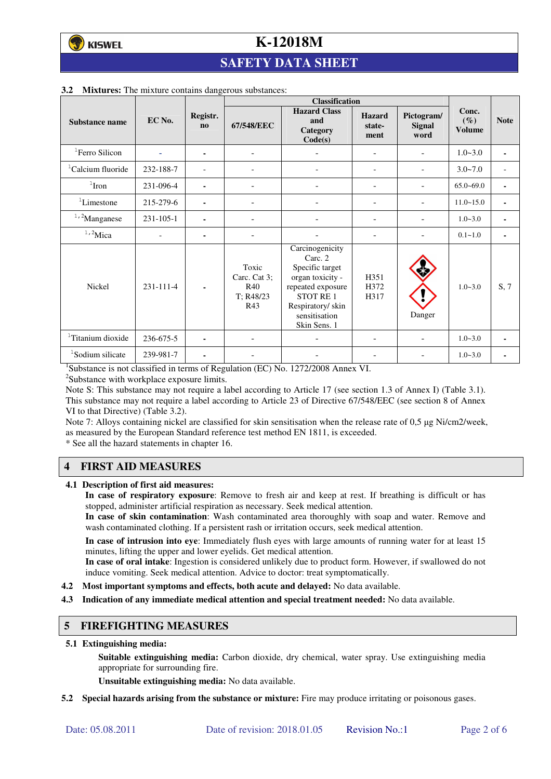## **SAFETY DATA SHEET**

|                               |                 |                          | <b>Classification</b>                                   |                                                                                                                                                         |                                 |                                     |                                  |             |
|-------------------------------|-----------------|--------------------------|---------------------------------------------------------|---------------------------------------------------------------------------------------------------------------------------------------------------------|---------------------------------|-------------------------------------|----------------------------------|-------------|
| Substance name                | EC No.          | Registr.<br>$\mathbf{n}$ | 67/548/EEC                                              | <b>Hazard Class</b><br>and<br>Category<br>Code(s)                                                                                                       | <b>Hazard</b><br>state-<br>ment | Pictogram/<br><b>Signal</b><br>word | Conc.<br>$(\%)$<br><b>Volume</b> | <b>Note</b> |
| <sup>1</sup> Ferro Silicon    |                 | ۰                        | $\overline{\phantom{a}}$                                |                                                                                                                                                         | ۰                               |                                     | $1.0 - 3.0$                      | ٠           |
| <sup>1</sup> Calcium fluoride | 232-188-7       |                          |                                                         |                                                                                                                                                         | $\overline{\phantom{0}}$        |                                     | $3.0 - 7.0$                      |             |
| $1$ Iron                      | 231-096-4       | ۰                        |                                                         |                                                                                                                                                         | ÷                               |                                     | $65.0 - 69.0$                    | ٠           |
| ${}^{1}$ Limestone            | 215-279-6       | ۰                        | $\blacksquare$                                          |                                                                                                                                                         | ۰                               |                                     | $11.0 - 15.0$                    | ٠           |
| $1,2$ Manganese               | $231 - 105 - 1$ |                          |                                                         |                                                                                                                                                         |                                 |                                     | $1.0 - 3.0$                      |             |
| $1,2$ Mica                    |                 | ۰                        |                                                         |                                                                                                                                                         |                                 |                                     | $0.1 - 1.0$                      | ٠           |
| <b>Nickel</b>                 | 231-111-4       |                          | Toxic<br>Carc. Cat 3;<br><b>R40</b><br>T: R48/23<br>R43 | Carcinogenicity<br>Carc. 2<br>Specific target<br>organ toxicity -<br>repeated exposure<br>STOT RE1<br>Respiratory/skin<br>sensitisation<br>Skin Sens. 1 | H351<br>H372<br>H317            | Danger                              | $1.0 - 3.0$                      | S, 7        |
| <sup>1</sup> Titanium dioxide | 236-675-5       |                          |                                                         |                                                                                                                                                         |                                 |                                     | $1.0 - 3.0$                      | ٠           |
| <sup>1</sup> Sodium silicate  | 239-981-7       | ۰                        |                                                         |                                                                                                                                                         |                                 |                                     | $1.0 - 3.0$                      |             |

#### **3.2 Mixtures:** The mixture contains dangerous substances:

<sup>1</sup>Substance is not classified in terms of Regulation (EC) No. 1272/2008 Annex VI.

<sup>2</sup>Substance with workplace exposure limits.

Note S: This substance may not require a label according to Article 17 (see section 1.3 of Annex I) (Table 3.1). This substance may not require a label according to Article 23 of Directive 67/548/EEC (see section 8 of Annex VI to that Directive) (Table 3.2).

Note 7: Alloys containing nickel are classified for skin sensitisation when the release rate of 0,5 µg Ni/cm2/week, as measured by the European Standard reference test method EN 1811, is exceeded.

\* See all the hazard statements in chapter 16.

### **4 FIRST AID MEASURES**

**4.1 Description of first aid measures:** 

**In case of respiratory exposure**: Remove to fresh air and keep at rest. If breathing is difficult or has stopped, administer artificial respiration as necessary. Seek medical attention.

**In case of skin contamination**: Wash contaminated area thoroughly with soap and water. Remove and wash contaminated clothing. If a persistent rash or irritation occurs, seek medical attention.

 **In case of intrusion into eye**: Immediately flush eyes with large amounts of running water for at least 15 minutes, lifting the upper and lower eyelids. Get medical attention.

**In case of oral intake**: Ingestion is considered unlikely due to product form. However, if swallowed do not induce vomiting. Seek medical attention. Advice to doctor: treat symptomatically.

- **4.2 Most important symptoms and effects, both acute and delayed:** No data available.
- **4.3 Indication of any immediate medical attention and special treatment needed:** No data available.

#### **5 FIREFIGHTING MEASURES**

**5.1 Extinguishing media:** 

**Suitable extinguishing media:** Carbon dioxide, dry chemical, water spray. Use extinguishing media appropriate for surrounding fire.

**Unsuitable extinguishing media:** No data available.

**5.2 Special hazards arising from the substance or mixture:** Fire may produce irritating or poisonous gases.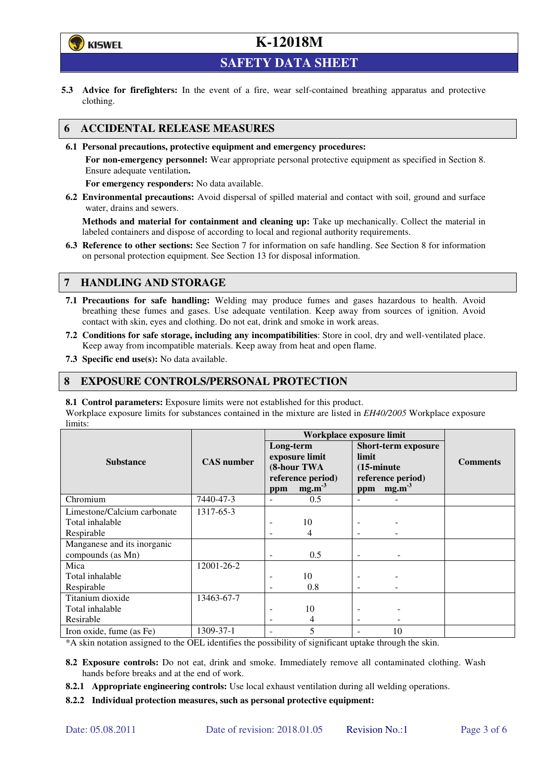

**SAFETY DATA SHEET** 

**5.3 Advice for firefighters:** In the event of a fire, wear self-contained breathing apparatus and protective clothing.

### **6 ACCIDENTAL RELEASE MEASURES**

**6.1 Personal precautions, protective equipment and emergency procedures:** 

**For non-emergency personnel:** Wear appropriate personal protective equipment as specified in Section 8. Ensure adequate ventilation**.** 

**For emergency responders:** No data available.

**6.2 Environmental precautions:** Avoid dispersal of spilled material and contact with soil, ground and surface water, drains and sewers.

**Methods and material for containment and cleaning up:** Take up mechanically. Collect the material in labeled containers and dispose of according to local and regional authority requirements.

**6.3 Reference to other sections:** See Section 7 for information on safe handling. See Section 8 for information on personal protection equipment. See Section 13 for disposal information.

### **7 HANDLING AND STORAGE**

- **7.1 Precautions for safe handling:** Welding may produce fumes and gases hazardous to health. Avoid breathing these fumes and gases. Use adequate ventilation. Keep away from sources of ignition. Avoid contact with skin, eyes and clothing. Do not eat, drink and smoke in work areas.
- **7.2 Conditions for safe storage, including any incompatibilities**: Store in cool, dry and well-ventilated place. Keep away from incompatible materials. Keep away from heat and open flame.
- **7.3 Specific end use(s):** No data available.

#### **8 EXPOSURE CONTROLS/PERSONAL PROTECTION**

**8.1 Control parameters:** Exposure limits were not established for this product.

Workplace exposure limits for substances contained in the mixture are listed in *EH40/2005* Workplace exposure limits:

|                                                  |                   | Workplace exposure limit |                                                                         |                                      |                                                                      |                 |
|--------------------------------------------------|-------------------|--------------------------|-------------------------------------------------------------------------|--------------------------------------|----------------------------------------------------------------------|-----------------|
| <b>Substance</b>                                 | <b>CAS</b> number | Long-term<br>ppm         | exposure limit<br>(8-hour TWA<br>reference period)<br>mg.m <sup>3</sup> | limit<br>$(15\text{-minute})$<br>ppm | <b>Short-term exposure</b><br>reference period)<br>mg.m <sup>3</sup> | <b>Comments</b> |
| Chromium                                         | 7440-47-3         |                          | 0.5                                                                     |                                      |                                                                      |                 |
| Limestone/Calcium carbonate                      | 1317-65-3         |                          |                                                                         |                                      |                                                                      |                 |
| Total inhalable                                  |                   |                          | 10                                                                      |                                      |                                                                      |                 |
| Respirable                                       |                   |                          | 4                                                                       |                                      |                                                                      |                 |
| Manganese and its inorganic<br>compounds (as Mn) |                   | ٠                        | 0.5                                                                     | $\overline{\phantom{0}}$             |                                                                      |                 |
| Mica                                             | 12001-26-2        |                          |                                                                         |                                      |                                                                      |                 |
| Total inhalable                                  |                   |                          | 10                                                                      |                                      |                                                                      |                 |
| Respirable                                       |                   |                          | 0.8                                                                     |                                      |                                                                      |                 |
| Titanium dioxide                                 | 13463-67-7        |                          |                                                                         |                                      |                                                                      |                 |
| Total inhalable                                  |                   |                          | 10                                                                      |                                      |                                                                      |                 |
| Resirable                                        |                   |                          | 4                                                                       |                                      |                                                                      |                 |
| Iron oxide, fume (as Fe)                         | 1309-37-1         |                          | 5                                                                       |                                      | 10                                                                   |                 |

\*A skin notation assigned to the OEL identifies the possibility of significant uptake through the skin.

- **8.2 Exposure controls:** Do not eat, drink and smoke. Immediately remove all contaminated clothing. Wash hands before breaks and at the end of work.
- **8.2.1 Appropriate engineering controls:** Use local exhaust ventilation during all welding operations.

**8.2.2 Individual protection measures, such as personal protective equipment:**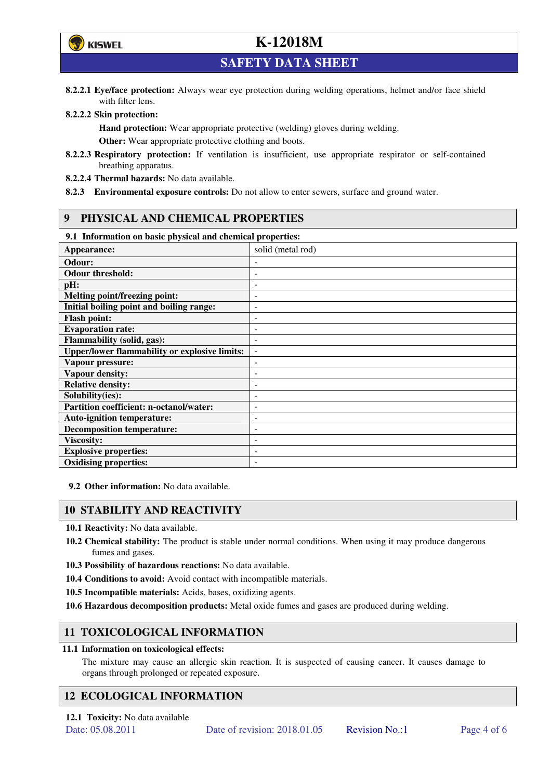

**SAFETY DATA SHEET** 

**8.2.2.1 Eye/face protection:** Always wear eye protection during welding operations, helmet and/or face shield with filter lens.

#### **8.2.2.2 Skin protection:**

**Hand protection:** Wear appropriate protective (welding) gloves during welding. **Other:** Wear appropriate protective clothing and boots.

- **8.2.2.3 Respiratory protection:** If ventilation is insufficient, use appropriate respirator or self-contained breathing apparatus.
- **8.2.2.4 Thermal hazards:** No data available.
- **8.2.3 Environmental exposure controls:** Do not allow to enter sewers, surface and ground water.

### **9 PHYSICAL AND CHEMICAL PROPERTIES**

### **9.1 Information on basic physical and chemical properties:**

| 2.1 - 111101 matron on basic physical and chemical properties. |                              |
|----------------------------------------------------------------|------------------------------|
| Appearance:                                                    | solid (metal rod)            |
| Odour:                                                         |                              |
| <b>Odour threshold:</b>                                        | ٠                            |
| pH:                                                            | $\overline{a}$               |
| Melting point/freezing point:                                  | ٠                            |
| Initial boiling point and boiling range:                       | $\qquad \qquad \blacksquare$ |
| <b>Flash point:</b>                                            |                              |
| <b>Evaporation rate:</b>                                       | $\overline{a}$               |
| <b>Flammability (solid, gas):</b>                              | ٠                            |
| <b>Upper/lower flammability or explosive limits:</b>           | $\overline{\phantom{a}}$     |
| Vapour pressure:                                               | $\qquad \qquad \blacksquare$ |
| <b>Vapour density:</b>                                         | ٠                            |
| <b>Relative density:</b>                                       |                              |
| Solubility(ies):                                               |                              |
| Partition coefficient: n-octanol/water:                        | $\qquad \qquad \blacksquare$ |
| <b>Auto-ignition temperature:</b>                              | ۰                            |
| <b>Decomposition temperature:</b>                              | ۰                            |
| <b>Viscosity:</b>                                              |                              |
| <b>Explosive properties:</b>                                   | $\qquad \qquad -$            |
| <b>Oxidising properties:</b>                                   | ۰                            |

**9.2 Other information:** No data available.

#### **10 STABILITY AND REACTIVITY**

**10.1 Reactivity:** No data available.

- **10.2 Chemical stability:** The product is stable under normal conditions. When using it may produce dangerous fumes and gases.
- **10.3 Possibility of hazardous reactions:** No data available.
- **10.4 Conditions to avoid:** Avoid contact with incompatible materials.
- **10.5 Incompatible materials:** Acids, bases, oxidizing agents.
- **10.6 Hazardous decomposition products:** Metal oxide fumes and gases are produced during welding.

### **11 TOXICOLOGICAL INFORMATION**

#### **11.1 Information on toxicological effects:**

The mixture may cause an allergic skin reaction. It is suspected of causing cancer. It causes damage to organs through prolonged or repeated exposure.

### **12 ECOLOGICAL INFORMATION**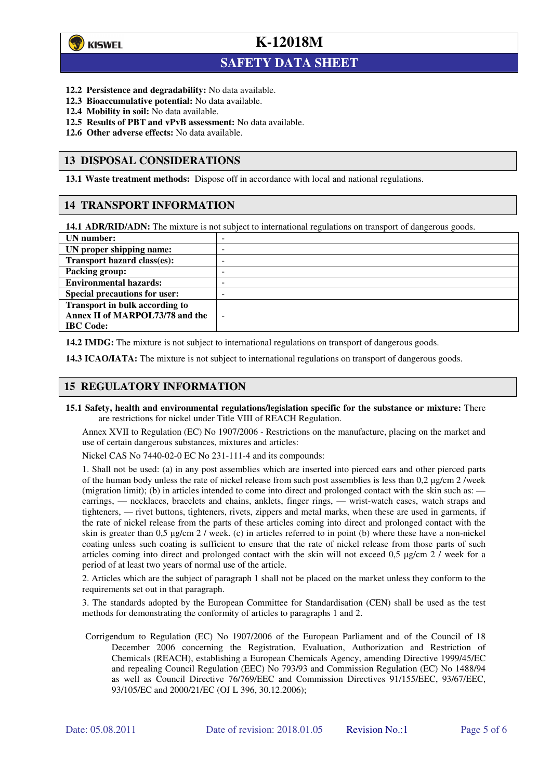

 $\overline{a}$ 

## **K-12018M**

## **SAFETY DATA SHEET**

- **12.2 Persistence and degradability:** No data available.
- **12.3 Bioaccumulative potential:** No data available.
- **12.4 Mobility in soil:** No data available.
- **12.5 Results of PBT and vPvB assessment:** No data available.
- **12.6 Other adverse effects:** No data available.

#### **13 DISPOSAL CONSIDERATIONS**

**13.1 Waste treatment methods:** Dispose off in accordance with local and national regulations.

#### **14 TRANSPORT INFORMATION**

**14.1 ADR/RID/ADN:** The mixture is not subject to international regulations on transport of dangerous goods.

| UN number:                            | -                        |
|---------------------------------------|--------------------------|
| UN proper shipping name:              | -                        |
| Transport hazard class(es):           | -                        |
| <b>Packing group:</b>                 | -                        |
| <b>Environmental hazards:</b>         | -                        |
| <b>Special precautions for user:</b>  | -                        |
| <b>Transport in bulk according to</b> |                          |
| Annex II of MARPOL73/78 and the       | $\overline{\phantom{0}}$ |
| <b>IBC</b> Code:                      |                          |

**14.2 IMDG:** The mixture is not subject to international regulations on transport of dangerous goods.

**14.3 ICAO/IATA:** The mixture is not subject to international regulations on transport of dangerous goods.

### **15 REGULATORY INFORMATION**

**15.1 Safety, health and environmental regulations/legislation specific for the substance or mixture:** There are restrictions for nickel under Title VIII of REACH Regulation.

Annex XVII to Regulation (EC) No 1907/2006 - Restrictions on the manufacture, placing on the market and use of certain dangerous substances, mixtures and articles:

Nickel CAS No 7440-02-0 EC No 231-111-4 and its compounds:

1. Shall not be used: (a) in any post assemblies which are inserted into pierced ears and other pierced parts of the human body unless the rate of nickel release from such post assemblies is less than  $0.2 \mu$ g/cm  $2$ /week (migration limit); (b) in articles intended to come into direct and prolonged contact with the skin such as: earrings, — necklaces, bracelets and chains, anklets, finger rings, — wrist-watch cases, watch straps and tighteners, — rivet buttons, tighteners, rivets, zippers and metal marks, when these are used in garments, if the rate of nickel release from the parts of these articles coming into direct and prolonged contact with the skin is greater than 0,5 µg/cm 2 / week. (c) in articles referred to in point (b) where these have a non-nickel coating unless such coating is sufficient to ensure that the rate of nickel release from those parts of such articles coming into direct and prolonged contact with the skin will not exceed 0,5 µg/cm 2 / week for a period of at least two years of normal use of the article.

2. Articles which are the subject of paragraph 1 shall not be placed on the market unless they conform to the requirements set out in that paragraph.

3. The standards adopted by the European Committee for Standardisation (CEN) shall be used as the test methods for demonstrating the conformity of articles to paragraphs 1 and 2.

Corrigendum to Regulation (EC) No 1907/2006 of the European Parliament and of the Council of 18 December 2006 concerning the Registration, Evaluation, Authorization and Restriction of Chemicals (REACH), establishing a European Chemicals Agency, amending Directive 1999/45/EC and repealing Council Regulation (EEC) No 793/93 and Commission Regulation (EC) No 1488/94 as well as Council Directive 76/769/EEC and Commission Directives 91/155/EEC, 93/67/EEC, 93/105/EC and 2000/21/EC (OJ L 396, 30.12.2006);